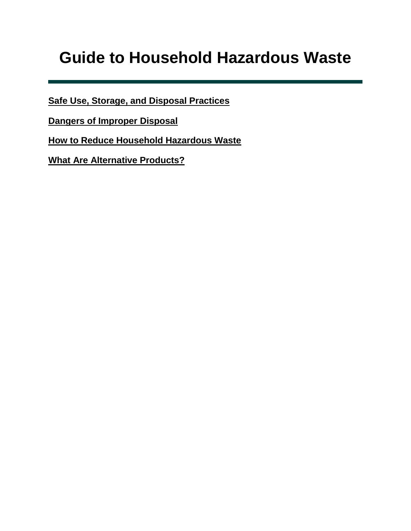# <span id="page-0-0"></span>**Guide to Household Hazardous Waste**

**[Safe Use, Storage, and Disposal Practices](#page-1-0)**

**[Dangers of Improper Disposal](#page-3-0)**

**[How to Reduce Household Hazardous Waste](#page-4-0)**

**[What Are Alternative Products?](#page-6-0)**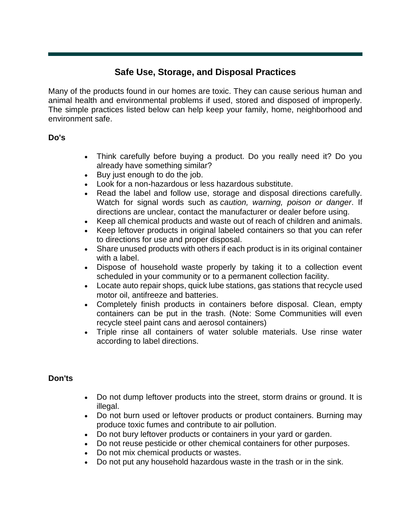# **Safe Use, Storage, and Disposal Practices**

<span id="page-1-0"></span>Many of the products found in our homes are toxic. They can cause serious human and animal health and environmental problems if used, stored and disposed of improperly. The simple practices listed below can help keep your family, home, neighborhood and environment safe.

## **Do's**

- Think carefully before buying a product. Do you really need it? Do you already have something similar?
- Buy just enough to do the job.
- Look for a non-hazardous or less hazardous substitute.
- Read the label and follow use, storage and disposal directions carefully. Watch for signal words such as *caution, warning, poison or danger*. If directions are unclear, contact the manufacturer or dealer before using.
- Keep all chemical products and waste out of reach of children and animals.
- Keep leftover products in original labeled containers so that you can refer to directions for use and proper disposal.
- Share unused products with others if each product is in its original container with a label.
- Dispose of household waste properly by taking it to a collection event scheduled in your community or to a permanent collection facility.
- Locate auto repair shops, quick lube stations, gas stations that recycle used motor oil, antifreeze and batteries.
- Completely finish products in containers before disposal. Clean, empty containers can be put in the trash. (Note: Some Communities will even recycle steel paint cans and aerosol containers)
- Triple rinse all containers of water soluble materials. Use rinse water according to label directions.

## **Don'ts**

- Do not dump leftover products into the street, storm drains or ground. It is illegal.
- Do not burn used or leftover products or product containers. Burning may produce toxic fumes and contribute to air pollution.
- Do not bury leftover products or containers in your yard or garden.
- Do not reuse pesticide or other chemical containers for other purposes.
- Do not mix chemical products or wastes.
- Do not put any household hazardous waste in the trash or in the sink.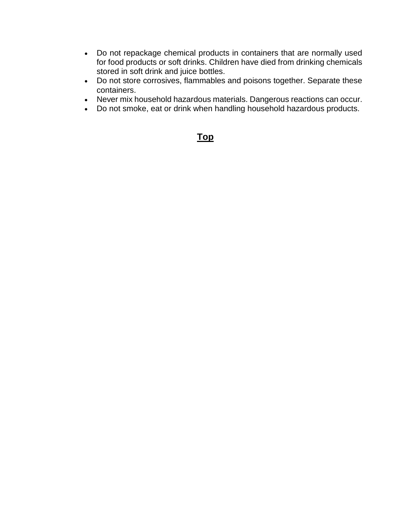- Do not repackage chemical products in containers that are normally used for food products or soft drinks. Children have died from drinking chemicals stored in soft drink and juice bottles.
- Do not store corrosives, flammables and poisons together. Separate these containers.
- Never mix household hazardous materials. Dangerous reactions can occur.
- Do not smoke, eat or drink when handling household hazardous products.

# **[Top](https://www.mdeq.ms.gov/mdeq.nsf/page/Recycling_GuidetoHHW?OpenDocument#Guide)**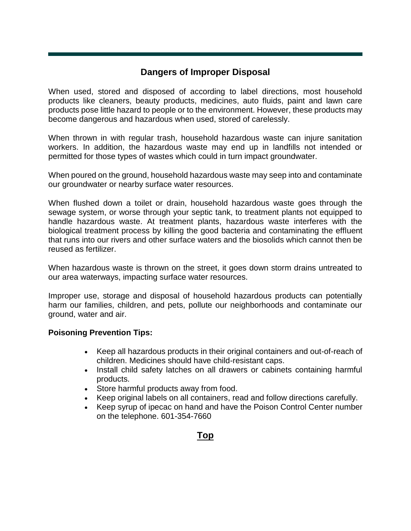# **Dangers of Improper Disposal**

<span id="page-3-0"></span>When used, stored and disposed of according to label directions, most household products like cleaners, beauty products, medicines, auto fluids, paint and lawn care products pose little hazard to people or to the environment. However, these products may become dangerous and hazardous when used, stored of carelessly.

When thrown in with regular trash, household hazardous waste can injure sanitation workers. In addition, the hazardous waste may end up in landfills not intended or permitted for those types of wastes which could in turn impact groundwater.

When poured on the ground, household hazardous waste may seep into and contaminate our groundwater or nearby surface water resources.

When flushed down a toilet or drain, household hazardous waste goes through the sewage system, or worse through your septic tank, to treatment plants not equipped to handle hazardous waste. At treatment plants, hazardous waste interferes with the biological treatment process by killing the good bacteria and contaminating the effluent that runs into our rivers and other surface waters and the biosolids which cannot then be reused as fertilizer.

When hazardous waste is thrown on the street, it goes down storm drains untreated to our area waterways, impacting surface water resources.

Improper use, storage and disposal of household hazardous products can potentially harm our families, children, and pets, pollute our neighborhoods and contaminate our ground, water and air.

## **Poisoning Prevention Tips:**

- Keep all hazardous products in their original containers and out-of-reach of children. Medicines should have child-resistant caps.
- Install child safety latches on all drawers or cabinets containing harmful products.
- Store harmful products away from food.
- Keep original labels on all containers, read and follow directions carefully.
- Keep syrup of ipecac on hand and have the Poison Control Center number on the telephone. 601-354-7660

# **[Top](https://www.mdeq.ms.gov/mdeq.nsf/page/Recycling_GuidetoHHW?OpenDocument#Guide)**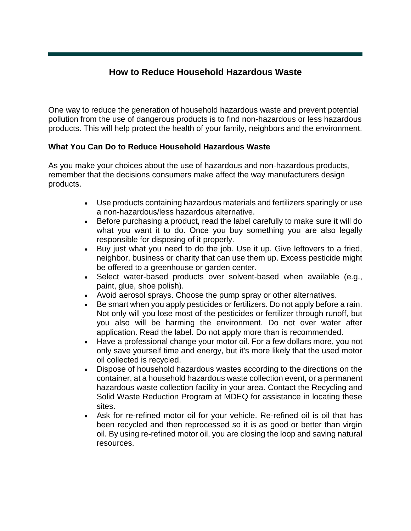# **How to Reduce Household Hazardous Waste**

<span id="page-4-0"></span>One way to reduce the generation of household hazardous waste and prevent potential pollution from the use of dangerous products is to find non-hazardous or less hazardous products. This will help protect the health of your family, neighbors and the environment.

# **What You Can Do to Reduce Household Hazardous Waste**

As you make your choices about the use of hazardous and non-hazardous products, remember that the decisions consumers make affect the way manufacturers design products.

- Use products containing hazardous materials and fertilizers sparingly or use a non-hazardous/less hazardous alternative.
- Before purchasing a product, read the label carefully to make sure it will do what you want it to do. Once you buy something you are also legally responsible for disposing of it properly.
- Buy just what you need to do the job. Use it up. Give leftovers to a fried, neighbor, business or charity that can use them up. Excess pesticide might be offered to a greenhouse or garden center.
- Select water-based products over solvent-based when available (e.g., paint, glue, shoe polish).
- Avoid aerosol sprays. Choose the pump spray or other alternatives.
- Be smart when you apply pesticides or fertilizers. Do not apply before a rain. Not only will you lose most of the pesticides or fertilizer through runoff, but you also will be harming the environment. Do not over water after application. Read the label. Do not apply more than is recommended.
- Have a professional change your motor oil. For a few dollars more, you not only save yourself time and energy, but it's more likely that the used motor oil collected is recycled.
- Dispose of household hazardous wastes according to the directions on the container, at a household hazardous waste collection event, or a permanent hazardous waste collection facility in your area. Contact the Recycling and Solid Waste Reduction Program at MDEQ for assistance in locating these sites.
- Ask for re-refined motor oil for your vehicle. Re-refined oil is oil that has been recycled and then reprocessed so it is as good or better than virgin oil. By using re-refined motor oil, you are closing the loop and saving natural resources.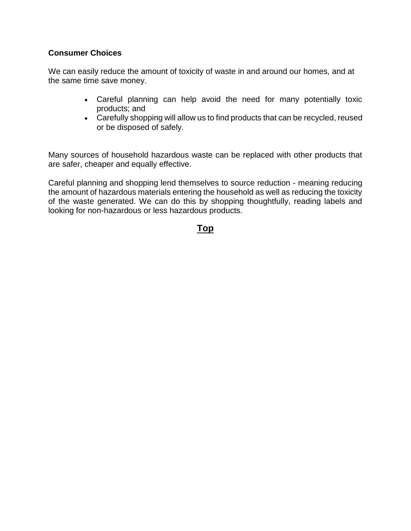# **Consumer Choices**

We can easily reduce the amount of toxicity of waste in and around our homes, and at the same time save money.

- Careful planning can help avoid the need for many potentially toxic products; and
- Carefully shopping will allow us to find products that can be recycled, reused or be disposed of safely.

Many sources of household hazardous waste can be replaced with other products that are safer, cheaper and equally effective.

Careful planning and shopping lend themselves to source reduction - meaning reducing the amount of hazardous materials entering the household as well as reducing the toxicity of the waste generated. We can do this by shopping thoughtfully, reading labels and looking for non-hazardous or less hazardous products.

# **[Top](https://www.mdeq.ms.gov/mdeq.nsf/page/Recycling_GuidetoHHW?OpenDocument#Guide)**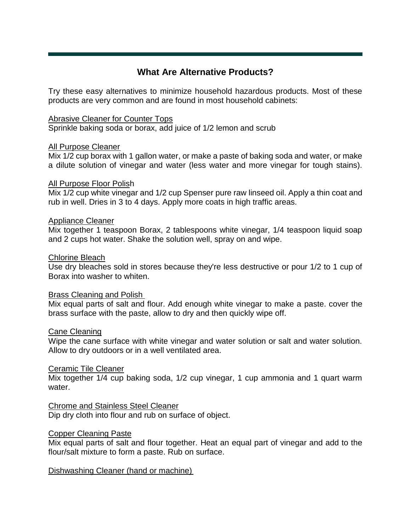# **What Are Alternative Products?**

<span id="page-6-0"></span>Try these easy alternatives to minimize household hazardous products. Most of these products are very common and are found in most household cabinets:

#### Abrasive Cleaner for Counter Tops

Sprinkle baking soda or borax, add juice of 1/2 lemon and scrub

#### All Purpose Cleaner

Mix 1/2 cup borax with 1 gallon water, or make a paste of baking soda and water, or make a dilute solution of vinegar and water (less water and more vinegar for tough stains).

#### All Purpose Floor Polish

Mix 1/2 cup white vinegar and 1/2 cup Spenser pure raw linseed oil. Apply a thin coat and rub in well. Dries in 3 to 4 days. Apply more coats in high traffic areas.

#### Appliance Cleaner

Mix together 1 teaspoon Borax, 2 tablespoons white vinegar, 1/4 teaspoon liquid soap and 2 cups hot water. Shake the solution well, spray on and wipe.

#### Chlorine Bleach

Use dry bleaches sold in stores because they're less destructive or pour 1/2 to 1 cup of Borax into washer to whiten.

#### Brass Cleaning and Polish

Mix equal parts of salt and flour. Add enough white vinegar to make a paste. cover the brass surface with the paste, allow to dry and then quickly wipe off.

#### Cane Cleaning

Wipe the cane surface with white vinegar and water solution or salt and water solution. Allow to dry outdoors or in a well ventilated area.

#### Ceramic Tile Cleaner

Mix together 1/4 cup baking soda, 1/2 cup vinegar, 1 cup ammonia and 1 quart warm water.

## Chrome and Stainless Steel Cleaner

Dip dry cloth into flour and rub on surface of object.

#### Copper Cleaning Paste

Mix equal parts of salt and flour together. Heat an equal part of vinegar and add to the flour/salt mixture to form a paste. Rub on surface.

## Dishwashing Cleaner (hand or machine)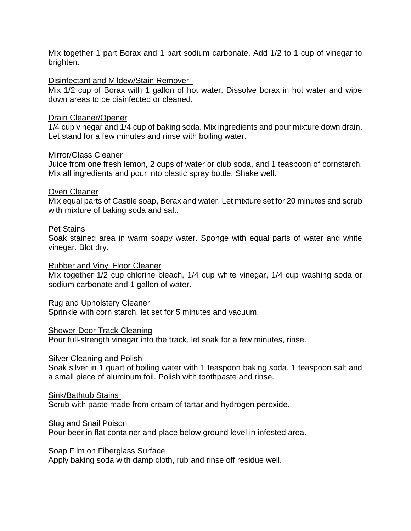Mix together 1 part Borax and 1 part sodium carbonate. Add 1/2 to 1 cup of vinegar to brighten.

#### Disinfectant and Mildew/Stain Remover

Mix 1/2 cup of Borax with 1 gallon of hot water. Dissolve borax in hot water and wipe down areas to be disinfected or cleaned.

#### Drain Cleaner/Opener

1/4 cup vinegar and 1/4 cup of baking soda. Mix ingredients and pour mixture down drain. Let stand for a few minutes and rinse with boiling water.

#### Mirror/Glass Cleaner

Juice from one fresh lemon, 2 cups of water or club soda, and 1 teaspoon of cornstarch. Mix all ingredients and pour into plastic spray bottle. Shake well.

#### Oven Cleaner

Mix equal parts of Castile soap, Borax and water. Let mixture set for 20 minutes and scrub with mixture of baking soda and salt.

#### Pet Stains

Soak stained area in warm soapy water. Sponge with equal parts of water and white vinegar. Blot dry.

#### Rubber and Vinyl Floor Cleaner

Mix together 1/2 cup chlorine bleach, 1/4 cup white vinegar, 1/4 cup washing soda or sodium carbonate and 1 gallon of water.

Rug and Upholstery Cleaner

Sprinkle with corn starch, let set for 5 minutes and vacuum.

#### Shower-Door Track Cleaning

Pour full-strength vinegar into the track, let soak for a few minutes, rinse.

#### Silver Cleaning and Polish

Soak silver in 1 quart of boiling water with 1 teaspoon baking soda, 1 teaspoon salt and a small piece of aluminum foil. Polish with toothpaste and rinse.

#### Sink/Bathtub Stains

Scrub with paste made from cream of tartar and hydrogen peroxide.

#### Slug and Snail Poison

Pour beer in flat container and place below ground level in infested area.

#### Soap Film on Fiberglass Surface

Apply baking soda with damp cloth, rub and rinse off residue well.